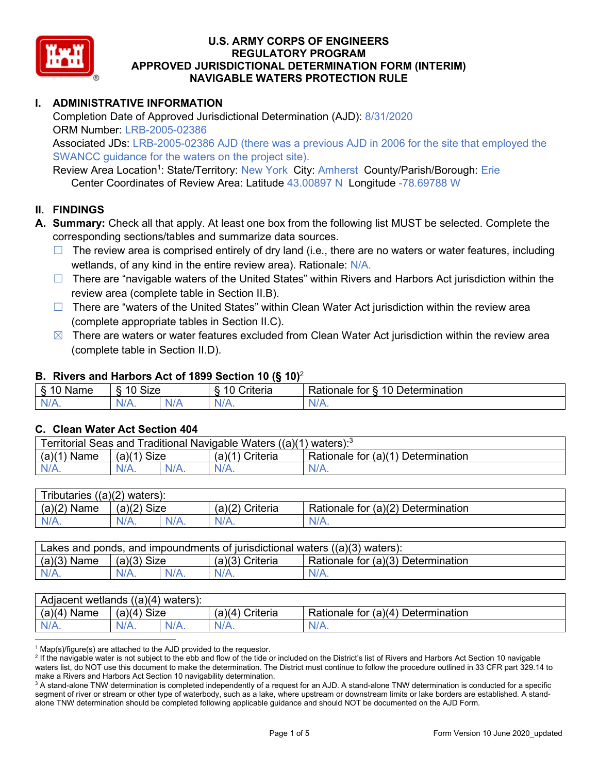

# **I. ADMINISTRATIVE INFORMATION**

Completion Date of Approved Jurisdictional Determination (AJD): 8/31/2020 ORM Number: LRB-2005-02386

Associated JDs: LRB-2005-02386 AJD (there was a previous AJD in 2006 for the site that employed the SWANCC guidance for the waters on the project site).

Review Area Location<sup>1</sup>: State/Territory: New York City: Amherst County/Parish/Borough: Erie Center Coordinates of Review Area: Latitude 43.00897 N Longitude -78.69788 W

#### **II. FINDINGS**

- **A. Summary:** Check all that apply. At least one box from the following list MUST be selected. Complete the corresponding sections/tables and summarize data sources.
	- $\Box$  The review area is comprised entirely of dry land (i.e., there are no waters or water features, including wetlands, of any kind in the entire review area). Rationale: N/A.
	- □ There are "navigable waters of the United States" within Rivers and Harbors Act jurisdiction within the review area (complete table in Section II.B).
	- $\Box$  There are "waters of the United States" within Clean Water Act jurisdiction within the review area (complete appropriate tables in Section II.C).
	- $\boxtimes$  There are waters or water features excluded from Clean Water Act jurisdiction within the review area (complete table in Section II.D).

#### **B. Rivers and Harbors Act of 1899 Section 10 (§ 10)**<sup>2</sup>

| $\sim$<br>Name | $\sim$<br>$\overline{a}$<br>SIZE<br>$\overline{\phantom{a}}$ |  | $\sim$ $\sim$<br>Criteria | $\overline{\phantom{0}}$<br>10<br>Jetermination<br>tor<br>∢ationale |
|----------------|--------------------------------------------------------------|--|---------------------------|---------------------------------------------------------------------|
| N<br>.         | $N/A$ .                                                      |  | N/r<br>11 L               | 11 I V.                                                             |

## **C. Clean Water Act Section 404**

| Traditional Navigable Waters ((a)(1) waters): <sup>3</sup><br>Territorial Seas and |                       |         |                    |                                             |  |  |
|------------------------------------------------------------------------------------|-----------------------|---------|--------------------|---------------------------------------------|--|--|
| (a)(1)<br>Name                                                                     | <b>Size</b><br>(a)(1) |         | Criteria<br>(a)(1) | Rationale for $(a)(1)$ D<br>⊦ Determination |  |  |
| $N/A$ .                                                                            | $N/A$ .               | $N/A$ . |                    | $N/A$ .                                     |  |  |

| Tributaries $((a)(2)$ waters): |                |         |                    |                                    |  |  |
|--------------------------------|----------------|---------|--------------------|------------------------------------|--|--|
| (a)(2)<br>Name                 | Size<br>(a)(2) |         | (a)(2)<br>Criteria | Rationale for (a)(2) Determination |  |  |
| $N/A$ .                        | $N/A$ .        | $N/A$ . | $N/A$ .            | N/A.                               |  |  |

| Lakes and ponds, and impoundments of jurisdictional waters $((a)(3)$ waters): |               |  |                 |                                    |  |  |
|-------------------------------------------------------------------------------|---------------|--|-----------------|------------------------------------|--|--|
| $(a)(3)$ Name                                                                 | $(a)(3)$ Size |  | (a)(3) Criteria | Rationale for (a)(3) Determination |  |  |
|                                                                               |               |  | N/A.            | $N/A$ .                            |  |  |

| Adjacent wetlands $((a)(4))$<br>waters): |                                  |            |                    |                                         |  |  |
|------------------------------------------|----------------------------------|------------|--------------------|-----------------------------------------|--|--|
| (a)(4)<br>Name                           | <b>Size</b><br>$(a)$ $(A)$<br>an |            | Criteria<br>(a)(4) | $(a)(4)$ Determination<br>Rationale for |  |  |
| N/A.                                     | N/A.                             | /Δ<br>N/A. | $N/A$ .            | N/A.                                    |  |  |

 $1$  Map(s)/figure(s) are attached to the AJD provided to the requestor.

<sup>2</sup> If the navigable water is not subject to the ebb and flow of the tide or included on the District's list of Rivers and Harbors Act Section 10 navigable waters list, do NOT use this document to make the determination. The District must continue to follow the procedure outlined in 33 CFR part 329.14 to make a Rivers and Harbors Act Section 10 navigability determination.

 $3$  A stand-alone TNW determination is completed independently of a request for an AJD. A stand-alone TNW determination is conducted for a specific segment of river or stream or other type of waterbody, such as a lake, where upstream or downstream limits or lake borders are established. A standalone TNW determination should be completed following applicable guidance and should NOT be documented on the AJD Form.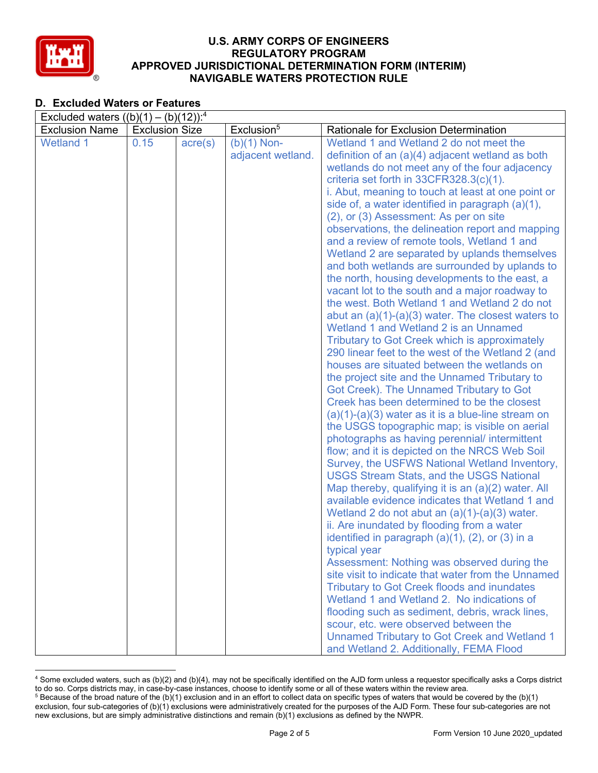

# **D. Excluded Waters or Features**

| Excluded waters $((b)(1) - (b)(12))$ : <sup>4</sup> |                       |                  |                        |                                                                                                  |  |  |
|-----------------------------------------------------|-----------------------|------------------|------------------------|--------------------------------------------------------------------------------------------------|--|--|
| <b>Exclusion Name</b>                               | <b>Exclusion Size</b> |                  | Exclusion <sup>5</sup> | Rationale for Exclusion Determination                                                            |  |  |
| <b>Wetland 1</b>                                    | 0.15                  | $\text{acre}(s)$ | $(b)(1)$ Non-          | Wetland 1 and Wetland 2 do not meet the                                                          |  |  |
|                                                     |                       |                  | adjacent wetland.      | definition of an $(a)(4)$ adjacent wetland as both                                               |  |  |
|                                                     |                       |                  |                        | wetlands do not meet any of the four adjacency                                                   |  |  |
|                                                     |                       |                  |                        | criteria set forth in 33CFR328.3(c)(1).                                                          |  |  |
|                                                     |                       |                  |                        | i. Abut, meaning to touch at least at one point or                                               |  |  |
|                                                     |                       |                  |                        | side of, a water identified in paragraph (a)(1),                                                 |  |  |
|                                                     |                       |                  |                        | (2), or (3) Assessment: As per on site                                                           |  |  |
|                                                     |                       |                  |                        | observations, the delineation report and mapping                                                 |  |  |
|                                                     |                       |                  |                        | and a review of remote tools, Wetland 1 and                                                      |  |  |
|                                                     |                       |                  |                        | Wetland 2 are separated by uplands themselves                                                    |  |  |
|                                                     |                       |                  |                        | and both wetlands are surrounded by uplands to                                                   |  |  |
|                                                     |                       |                  |                        | the north, housing developments to the east, a                                                   |  |  |
|                                                     |                       |                  |                        | vacant lot to the south and a major roadway to                                                   |  |  |
|                                                     |                       |                  |                        | the west. Both Wetland 1 and Wetland 2 do not                                                    |  |  |
|                                                     |                       |                  |                        | abut an $(a)(1)-(a)(3)$ water. The closest waters to                                             |  |  |
|                                                     |                       |                  |                        | Wetland 1 and Wetland 2 is an Unnamed                                                            |  |  |
|                                                     |                       |                  |                        | <b>Tributary to Got Creek which is approximately</b>                                             |  |  |
|                                                     |                       |                  |                        | 290 linear feet to the west of the Wetland 2 (and<br>houses are situated between the wetlands on |  |  |
|                                                     |                       |                  |                        | the project site and the Unnamed Tributary to                                                    |  |  |
|                                                     |                       |                  |                        | Got Creek). The Unnamed Tributary to Got                                                         |  |  |
|                                                     |                       |                  |                        | Creek has been determined to be the closest                                                      |  |  |
|                                                     |                       |                  |                        | $(a)(1)-(a)(3)$ water as it is a blue-line stream on                                             |  |  |
|                                                     |                       |                  |                        | the USGS topographic map; is visible on aerial                                                   |  |  |
|                                                     |                       |                  |                        | photographs as having perennial/ intermittent                                                    |  |  |
|                                                     |                       |                  |                        | flow; and it is depicted on the NRCS Web Soil                                                    |  |  |
|                                                     |                       |                  |                        | Survey, the USFWS National Wetland Inventory,                                                    |  |  |
|                                                     |                       |                  |                        | <b>USGS Stream Stats, and the USGS National</b>                                                  |  |  |
|                                                     |                       |                  |                        | Map thereby, qualifying it is an (a)(2) water. All                                               |  |  |
|                                                     |                       |                  |                        | available evidence indicates that Wetland 1 and                                                  |  |  |
|                                                     |                       |                  |                        | Wetland 2 do not abut an $(a)(1)-(a)(3)$ water.                                                  |  |  |
|                                                     |                       |                  |                        | ii. Are inundated by flooding from a water                                                       |  |  |
|                                                     |                       |                  |                        | identified in paragraph $(a)(1)$ , $(2)$ , or $(3)$ in a                                         |  |  |
|                                                     |                       |                  |                        | typical year                                                                                     |  |  |
|                                                     |                       |                  |                        | Assessment: Nothing was observed during the                                                      |  |  |
|                                                     |                       |                  |                        | site visit to indicate that water from the Unnamed                                               |  |  |
|                                                     |                       |                  |                        | <b>Tributary to Got Creek floods and inundates</b>                                               |  |  |
|                                                     |                       |                  |                        | Wetland 1 and Wetland 2. No indications of                                                       |  |  |
|                                                     |                       |                  |                        | flooding such as sediment, debris, wrack lines,                                                  |  |  |
|                                                     |                       |                  |                        | scour, etc. were observed between the                                                            |  |  |
|                                                     |                       |                  |                        | <b>Unnamed Tributary to Got Creek and Wetland 1</b>                                              |  |  |
|                                                     |                       |                  |                        | and Wetland 2. Additionally, FEMA Flood                                                          |  |  |

<sup>4</sup> Some excluded waters, such as (b)(2) and (b)(4), may not be specifically identified on the AJD form unless a requestor specifically asks a Corps district to do so. Corps districts may, in case-by-case instances, choose to identify some or all of these waters within the review area.  $5$  Because of the broad nature of the (b)(1) exclusion and in an effort to collect data on specific types of waters that would be covered by the (b)(1)

exclusion, four sub-categories of (b)(1) exclusions were administratively created for the purposes of the AJD Form. These four sub-categories are not new exclusions, but are simply administrative distinctions and remain (b)(1) exclusions as defined by the NWPR.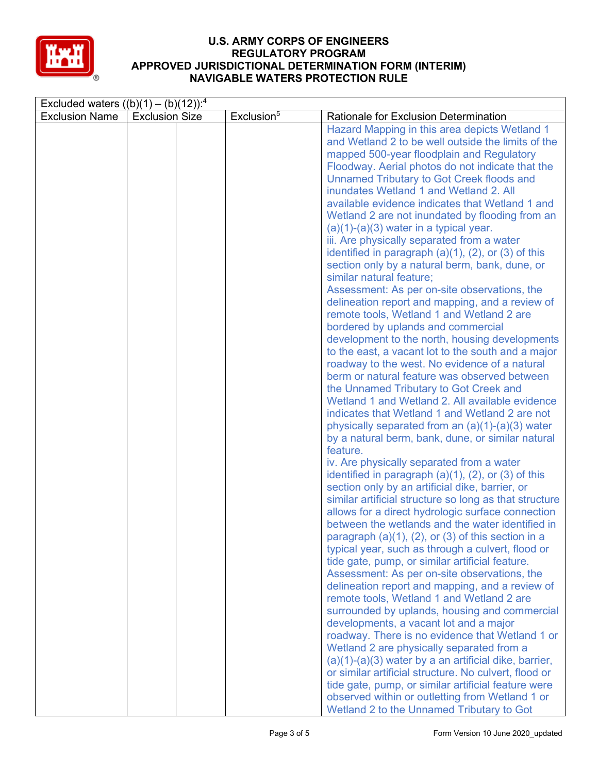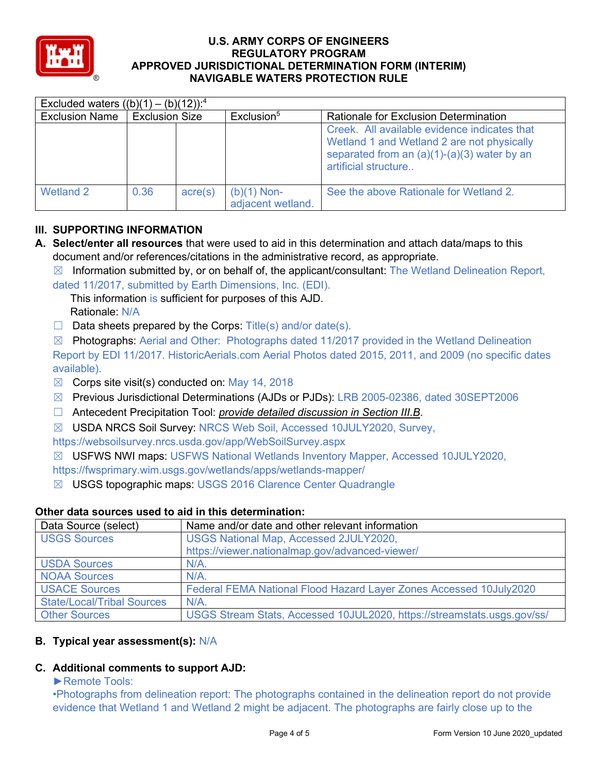

| Excluded waters $((b)(1) - (b)(12))$ : <sup>4</sup> |                       |         |                                  |                                                                                                                                                                     |  |
|-----------------------------------------------------|-----------------------|---------|----------------------------------|---------------------------------------------------------------------------------------------------------------------------------------------------------------------|--|
| <b>Exclusion Name</b>                               | <b>Exclusion Size</b> |         | Exclusion <sup>5</sup>           | <b>Rationale for Exclusion Determination</b>                                                                                                                        |  |
|                                                     |                       |         |                                  | Creek. All available evidence indicates that<br>Wetland 1 and Wetland 2 are not physically<br>separated from an $(a)(1)-(a)(3)$ water by an<br>artificial structure |  |
| Wetland 2                                           | 0.36                  | acre(s) | (b)(1) Non-<br>adjacent wetland. | See the above Rationale for Wetland 2.                                                                                                                              |  |

# **III. SUPPORTING INFORMATION**

- **A. Select/enter all resources** that were used to aid in this determination and attach data/maps to this document and/or references/citations in the administrative record, as appropriate.
	- $\boxtimes$  Information submitted by, or on behalf of, the applicant/consultant: The Wetland Delineation Report, dated 11/2017, submitted by Earth Dimensions, Inc. (EDI).

This information is sufficient for purposes of this AJD. Rationale: N/A

 $\Box$  Data sheets prepared by the Corps: Title(s) and/or date(s).

 $\boxtimes$  Photographs: Aerial and Other: Photographs dated 11/2017 provided in the Wetland Delineation Report by EDI 11/2017. HistoricAerials.com Aerial Photos dated 2015, 2011, and 2009 (no specific dates available).

- $\boxtimes$  Corps site visit(s) conducted on: May 14, 2018
- ☒ Previous Jurisdictional Determinations (AJDs or PJDs): LRB 2005-02386, dated 30SEPT2006
- ☐ Antecedent Precipitation Tool: *provide detailed discussion in Section III.B*.
- ☒ USDA NRCS Soil Survey: NRCS Web Soil, Accessed 10JULY2020, Survey,

https://websoilsurvey.nrcs.usda.gov/app/WebSoilSurvey.aspx

☒ USFWS NWI maps: USFWS National Wetlands Inventory Mapper, Accessed 10JULY2020,

https://fwsprimary.wim.usgs.gov/wetlands/apps/wetlands-mapper/

☒ USGS topographic maps: USGS 2016 Clarence Center Quadrangle

## **Other data sources used to aid in this determination:**

| Data Source (select)              | Name and/or date and other relevant information                         |
|-----------------------------------|-------------------------------------------------------------------------|
| <b>USGS Sources</b>               | USGS National Map, Accessed 2JULY2020,                                  |
|                                   | https://viewer.nationalmap.gov/advanced-viewer/                         |
| <b>USDA Sources</b>               | $N/A$ .                                                                 |
| <b>NOAA Sources</b>               | $N/A$ .                                                                 |
| <b>USACE Sources</b>              | Federal FEMA National Flood Hazard Layer Zones Accessed 10July2020      |
| <b>State/Local/Tribal Sources</b> | $N/A$ .                                                                 |
| <b>Other Sources</b>              | USGS Stream Stats, Accessed 10JUL2020, https://streamstats.usgs.gov/ss/ |

# **B. Typical year assessment(s):** N/A

# **C. Additional comments to support AJD:**

## ►Remote Tools:

•Photographs from delineation report: The photographs contained in the delineation report do not provide evidence that Wetland 1 and Wetland 2 might be adjacent. The photographs are fairly close up to the